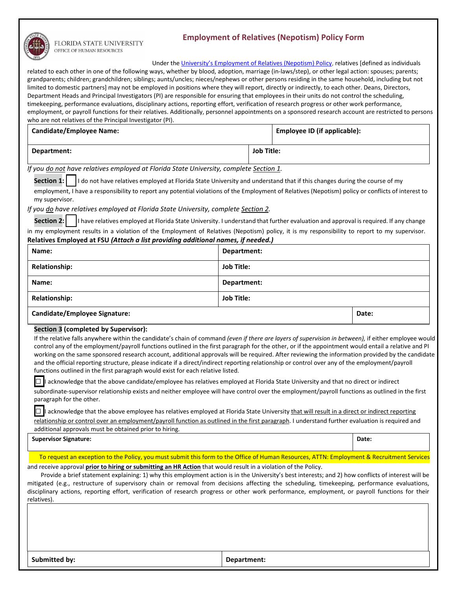

## FLORIDA STATE UNIVERSITY OFFICE OF HUMAN RESOURCES

## **Employment of Relatives (Nepotism) Policy Form**

Under th[e University's Employment of Relatives \(Nepotism\) Policy,](http://policies.vpfa.fsu.edu/policies-and-procedures/faculty-staff/employment-relatives-nepotism-policy) relatives [defined as individuals related to each other in one of the following ways, whether by blood, adoption, marriage (in-laws/step), or other legal action: spouses; parents; grandparents; children; grandchildren; siblings; aunts/uncles; nieces/nephews or other persons residing in the same household, including but not limited to domestic partners] may not be employed in positions where they will report, directly or indirectly, to each other. Deans, Directors, Department Heads and Principal Investigators (PI) are responsible for ensuring that employees in their units do not control the scheduling, timekeeping, performance evaluations, disciplinary actions, reporting effort, verification of research progress or other work performance, employment, or payroll functions for their relatives. Additionally, personnel appointments on a sponsored research account are restricted to persons who are not relatives of the Principal Investigator (PI).

| <b>Candidate/Employee Name:</b> |            | Employee ID (if applicable): |
|---------------------------------|------------|------------------------------|
| Department:                     | Job Title: |                              |

*If you do not have relatives employed at Florida State University, complete Section 1.*

**Section 1:** | I do not have relatives employed at Florida State University and understand that if this changes during the course of my

employment, I have a responsibility to report any potential violations of the Employment of Relatives (Nepotism) policy or conflicts of interest to my supervisor.

*If you do have relatives employed at Florida State University, complete Section 2.* 

**Section 2:** I have relatives employed at Florida State University. I understand that further evaluation and approval is required. If any change in my employment results in a violation of the Employment of Relatives (Nepotism) policy, it is my responsibility to report to my supervisor.

| Name:                                | Department:       |       |  |  |  |
|--------------------------------------|-------------------|-------|--|--|--|
| <b>Relationship:</b>                 | <b>Job Title:</b> |       |  |  |  |
| Name:                                | Department:       |       |  |  |  |
| <b>Relationship:</b>                 | <b>Job Title:</b> |       |  |  |  |
| <b>Candidate/Employee Signature:</b> |                   | Date: |  |  |  |

## **Section 3 (completed by Supervisor):**

If the relative falls anywhere within the candidate's chain of command *(even if there are layers of supervision in between),* if either employee would control any of the employment/payroll functions outlined in the first paragraph for the other, or if the appointment would entail a relative and PI working on the same sponsored research account, additional approvals will be required. After reviewing the information provided by the candidate and the official reporting structure, please indicate if a direct/indirect reporting relationship or control over any of the employment/payroll functions outlined in the first paragraph would exist for each relative listed.

□ I acknowledge that the above candidate/employee has relatives employed at Florida State University and that no direct or indirect subordinate-supervisor relationship exists and neither employee will have control over the employment/payroll functions as outlined in the first paragraph for the other.

□ I acknowledge that the above employee has relatives employed at Florida State University that will result in a direct or indirect reporting

relationship or control over an employment/payroll function as outlined in the first paragraph. I understand further evaluation is required and additional approvals must be obtained prior to hiring.

**Supervisor Signature: Date:**

To request an exception to the Policy, you must submit this form to the Office of Human Resources, ATTN: Employment & Recruitment Services and receive approval **prior to hiring or submitting an HR Action** that would result in a violation of the Policy.

Provide a brief statement explaining: 1) why this employment action is in the University's best interests; and 2) how conflicts of interest will be mitigated (e.g., restructure of supervisory chain or removal from decisions affecting the scheduling, timekeeping, performance evaluations, disciplinary actions, reporting effort, verification of research progress or other work performance, employment, or payroll functions for their relatives).

**Submitted by: Department:**